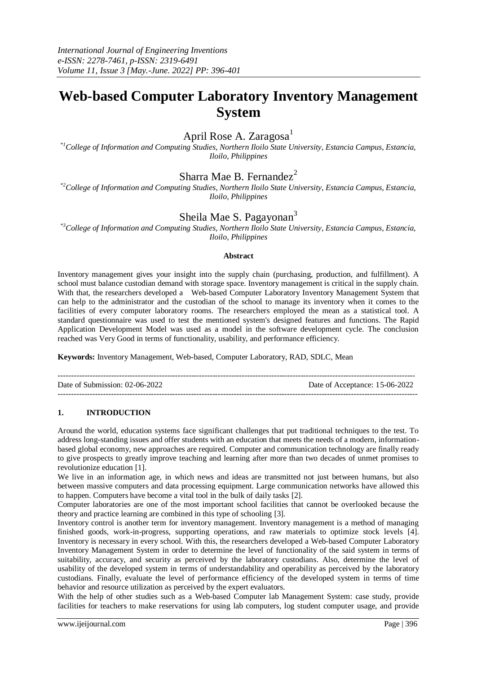# **Web-based Computer Laboratory Inventory Management System**

# April Rose A. Zaragosa $<sup>1</sup>$ </sup>

*\*1College of Information and Computing Studies, Northern Iloilo State University, Estancia Campus, Estancia, Iloilo, Philippines*

### Sharra Mae B. Fernandez $^2$

*\*2College of Information and Computing Studies, Northern Iloilo State University, Estancia Campus, Estancia, Iloilo, Philippines*

## Sheila Mae S. Pagayonan<sup>3</sup>

*\*3College of Information and Computing Studies, Northern Iloilo State University, Estancia Campus, Estancia, Iloilo, Philippines*

#### **Abstract**

Inventory management gives your insight into the supply chain (purchasing, production, and fulfillment). A school must balance custodian demand with storage space. Inventory management is critical in the supply chain. With that, the researchers developed a Web-based Computer Laboratory Inventory Management System that can help to the administrator and the custodian of the school to manage its inventory when it comes to the facilities of every computer laboratory rooms. The researchers employed the mean as a statistical tool. A standard questionnaire was used to test the mentioned system's designed features and functions. The Rapid Application Development Model was used as a model in the software development cycle. The conclusion reached was Very Good in terms of functionality, usability, and performance efficiency.

**Keywords:** Inventory Management, Web-based, Computer Laboratory, RAD, SDLC, Mean

| Date of Submission: $02-06-2022$ | Date of Acceptance: 15-06-2022 |
|----------------------------------|--------------------------------|
|                                  |                                |

### **1. INTRODUCTION**

Around the world, education systems face significant challenges that put traditional techniques to the test. To address long-standing issues and offer students with an education that meets the needs of a modern, informationbased global economy, new approaches are required. Computer and communication technology are finally ready to give prospects to greatly improve teaching and learning after more than two decades of unmet promises to revolutionize education [1].

We live in an information age, in which news and ideas are transmitted not just between humans, but also between massive computers and data processing equipment. Large communication networks have allowed this to happen. Computers have become a vital tool in the bulk of daily tasks [2].

Computer laboratories are one of the most important school facilities that cannot be overlooked because the theory and practice learning are combined in this type of schooling [3].

Inventory control is another term for inventory management. Inventory management is a method of managing finished goods, work-in-progress, supporting operations, and raw materials to optimize stock levels [4]. Inventory is necessary in every school. With this, the researchers developed a Web-based Computer Laboratory Inventory Management System in order to determine the level of functionality of the said system in terms of suitability, accuracy, and security as perceived by the laboratory custodians. Also, determine the level of usability of the developed system in terms of understandability and operability as perceived by the laboratory custodians. Finally, evaluate the level of performance efficiency of the developed system in terms of time behavior and resource utilization as perceived by the expert evaluators.

With the help of other studies such as a Web-based Computer lab Management System: case study, provide facilities for teachers to make reservations for using lab computers, log student computer usage, and provide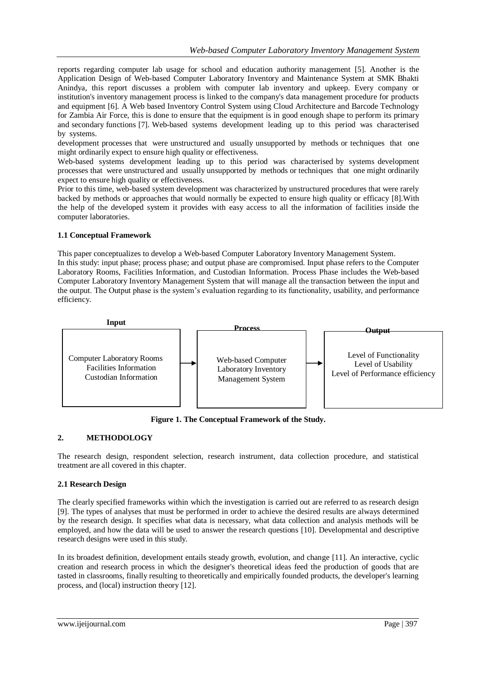reports regarding computer lab usage for school and education authority management [5]. Another is the Application Design of Web-based Computer Laboratory Inventory and Maintenance System at SMK Bhakti Anindya, this report discusses a problem with computer lab inventory and upkeep. Every company or institution's inventory management process is linked to the company's data management procedure for products and equipment [6]. A Web based Inventory Control System using Cloud Architecture and Barcode Technology for Zambia Air Force, this is done to ensure that the equipment is in good enough shape to perform its primary and secondary functions [7]. Web-based systems development leading up to this period was characterised by systems.

development processes that were unstructured and usually unsupported by methods or techniques that one might ordinarily expect to ensure high quality or effectiveness.

Web-based systems development leading up to this period was characterised by systems development processes that were unstructured and usually unsupported by methods or techniques that one might ordinarily expect to ensure high quality or effectiveness.

Prior to this time, web-based system development was characterized by unstructured procedures that were rarely backed by methods or approaches that would normally be expected to ensure high quality or efficacy [8].With the help of the developed system it provides with easy access to all the information of facilities inside the computer laboratories.

#### **1.1 Conceptual Framework**

This paper conceptualizes to develop a Web-based Computer Laboratory Inventory Management System. In this study: input phase; process phase; and output phase are compromised. Input phase refers to the Computer Laboratory Rooms, Facilities Information, and Custodian Information. Process Phase includes the Web-based Computer Laboratory Inventory Management System that will manage all the transaction between the input and the output. The Output phase is the system's evaluation regarding to its functionality, usability, and performance efficiency.



**Figure 1. The Conceptual Framework of the Study.**

### **2. METHODOLOGY**

The research design, respondent selection, research instrument, data collection procedure, and statistical treatment are all covered in this chapter.

### **2.1 Research Design**

The clearly specified frameworks within which the investigation is carried out are referred to as research design [9]. The types of analyses that must be performed in order to achieve the desired results are always determined by the research design. It specifies what data is necessary, what data collection and analysis methods will be employed, and how the data will be used to answer the research questions [10]. Developmental and descriptive research designs were used in this study.

In its broadest definition, development entails steady growth, evolution, and change [11]. An interactive, cyclic creation and research process in which the designer's theoretical ideas feed the production of goods that are tasted in classrooms, finally resulting to theoretically and empirically founded products, the developer's learning process, and (local) instruction theory [12].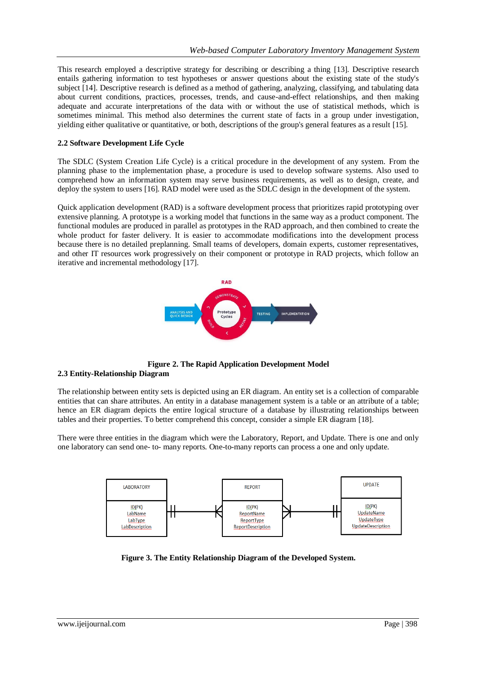This research employed a descriptive strategy for describing or describing a thing [13]. Descriptive research entails gathering information to test hypotheses or answer questions about the existing state of the study's subject [14]. Descriptive research is defined as a method of gathering, analyzing, classifying, and tabulating data about current conditions, practices, processes, trends, and cause-and-effect relationships, and then making adequate and accurate interpretations of the data with or without the use of statistical methods, which is sometimes minimal. This method also determines the current state of facts in a group under investigation, yielding either qualitative or quantitative, or both, descriptions of the group's general features as a result [15].

#### **2.2 Software Development Life Cycle**

The SDLC (System Creation Life Cycle) is a critical procedure in the development of any system. From the planning phase to the implementation phase, a procedure is used to develop software systems. Also used to comprehend how an information system may serve business requirements, as well as to design, create, and deploy the system to users [16]. RAD model were used as the SDLC design in the development of the system.

Quick application development (RAD) is a software development process that prioritizes rapid prototyping over extensive planning. A prototype is a working model that functions in the same way as a product component. The functional modules are produced in parallel as prototypes in the RAD approach, and then combined to create the whole product for faster delivery. It is easier to accommodate modifications into the development process because there is no detailed preplanning. Small teams of developers, domain experts, customer representatives, and other IT resources work progressively on their component or prototype in RAD projects, which follow an iterative and incremental methodology [17].



**Figure 2. The Rapid Application Development Model 2.3 Entity-Relationship Diagram**

The relationship between entity sets is depicted using an ER diagram. An entity set is a collection of comparable entities that can share attributes. An entity in a database management system is a table or an attribute of a table; hence an ER diagram depicts the entire logical structure of a database by illustrating relationships between tables and their properties. To better comprehend this concept, consider a simple ER diagram [18].

There were three entities in the diagram which were the Laboratory, Report, and Update. There is one and only one laboratory can send one- to- many reports. One-to-many reports can process a one and only update.



**Figure 3. The Entity Relationship Diagram of the Developed System.**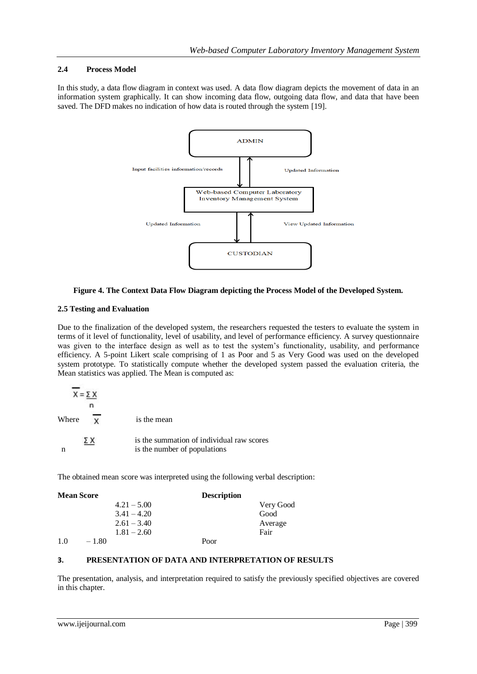#### **2.4 Process Model**

In this study, a data flow diagram in context was used. A data flow diagram depicts the movement of data in an information system graphically. It can show incoming data flow, outgoing data flow, and data that have been saved. The DFD makes no indication of how data is routed through the system [19].



#### **Figure 4. The Context Data Flow Diagram depicting the Process Model of the Developed System.**

#### **2.5 Testing and Evaluation**

Due to the finalization of the developed system, the researchers requested the testers to evaluate the system in terms of it level of functionality, level of usability, and level of performance efficiency. A survey questionnaire was given to the interface design as well as to test the system's functionality, usability, and performance efficiency. A 5-point Likert scale comprising of 1 as Poor and 5 as Very Good was used on the developed system prototype. To statistically compute whether the developed system passed the evaluation criteria, the Mean statistics was applied. The Mean is computed as:

| $X = \Sigma X$ |                                                                           |
|----------------|---------------------------------------------------------------------------|
| Where          | is the mean                                                               |
|                |                                                                           |
| ΣΧ             | is the summation of individual raw scores<br>is the number of populations |

The obtained mean score was interpreted using the following verbal description:

| <b>Mean Score</b> |         |               | <b>Description</b> |           |
|-------------------|---------|---------------|--------------------|-----------|
|                   |         | $4.21 - 5.00$ |                    | Very Good |
|                   |         | $3.41 - 4.20$ |                    | Good      |
|                   |         | $2.61 - 3.40$ |                    | Average   |
|                   |         | $1.81 - 2.60$ |                    | Fair      |
| 1.0               | $-1.80$ |               | Poor               |           |

### **3. PRESENTATION OF DATA AND INTERPRETATION OF RESULTS**

The presentation, analysis, and interpretation required to satisfy the previously specified objectives are covered in this chapter.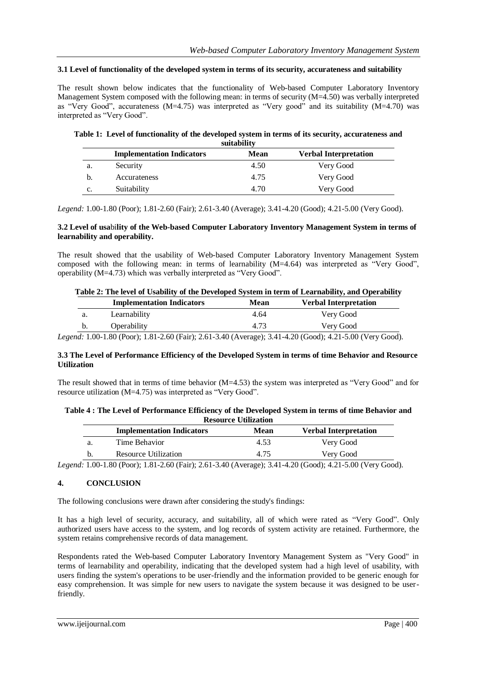#### **3.1 Level of functionality of the developed system in terms of its security, accurateness and suitability**

The result shown below indicates that the functionality of Web-based Computer Laboratory Inventory Management System composed with the following mean: in terms of security  $(M=4.50)$  was verbally interpreted as "Very Good", accurateness (M=4.75) was interpreted as "Very good" and its suitability (M=4.70) was interpreted as "Very Good".

|    | suitability                      |      |                              |
|----|----------------------------------|------|------------------------------|
|    | <b>Implementation Indicators</b> | Mean | <b>Verbal Interpretation</b> |
| a. | Security                         | 4.50 | Very Good                    |
| b. | Accurateness                     | 4.75 | Very Good                    |
| c. | Suitability                      | 4.70 | Very Good                    |

# **Table 1: Level of functionality of the developed system in terms of its security, accurateness and**

*Legend:* 1.00-1.80 (Poor); 1.81-2.60 (Fair); 2.61-3.40 (Average); 3.41-4.20 (Good); 4.21-5.00 (Very Good).

#### **3.2 Level of usa**bi**lity of the Web-based Computer Laboratory Inventory Management System in terms of learnability and operability.**

The result showed that the usability of Web-based Computer Laboratory Inventory Management System composed with the following mean: in terms of learnability (M=4.64) was interpreted as "Very Good", operability (M=4.73) which was verbally interpreted as "Very Good".

| Table 2: The level of Usability of the Developed System in term of Learnability, and Operability |                                                                                                                  |             |                              |
|--------------------------------------------------------------------------------------------------|------------------------------------------------------------------------------------------------------------------|-------------|------------------------------|
|                                                                                                  | <b>Implementation Indicators</b>                                                                                 | <b>Mean</b> | <b>Verbal Interpretation</b> |
| a.                                                                                               | Learnability                                                                                                     | 4.64        | Very Good                    |
| b.                                                                                               | Operability                                                                                                      | 4.73        | Very Good                    |
|                                                                                                  | $\ldots$ 1. 1.00.1.00 (Decay), 1.01.0 (O (Es) a), 0.61.0.40 (Assumes), 0.41.4.00 (Cessa), 4.01.5.00 (Very Cessa) |             |                              |

*Legend:* 1.00-1.80 (Poor); 1.81-2.60 (Fair); 2.61-3.40 (Average); 3.41-4.20 (Good); 4.21-5.00 (Very Good).

#### **3.3 The Level of Performance Efficiency of the Developed System in terms of time Behavior and Resource Utilization**

The result showed that in terms of time behavior (M=4.53) the system was interpreted as "Very Good" and for resource utilization (M=4.75) was interpreted as "Very Good".

#### **Table 4 : The Level of Performance Efficiency of the Developed System in terms of time Behavior and Resource Utilization**

|    | <b>Implementation Indicators</b> | Mean | <b>Verbal Interpretation</b> |
|----|----------------------------------|------|------------------------------|
| a. | Time Behavior                    | 4.53 | Very Good                    |
|    | Resource Utilization             | 4.75 | Very Good                    |

*Legend:* 1.00-1.80 (Poor); 1.81-2.60 (Fair); 2.61-3.40 (Average); 3.41-4.20 (Good); 4.21-5.00 (Very Good).

### **4. CONCLUSION**

The following conclusions were drawn after considering the study's findings:

It has a high level of security, accuracy, and suitability, all of which were rated as "Very Good". Only authorized users have access to the system, and log records of system activity are retained. Furthermore, the system retains comprehensive records of data management.

Respondents rated the Web-based Computer Laboratory Inventory Management System as "Very Good" in terms of learnability and operability, indicating that the developed system had a high level of usability, with users finding the system's operations to be user-friendly and the information provided to be generic enough for easy comprehension. It was simple for new users to navigate the system because it was designed to be userfriendly.